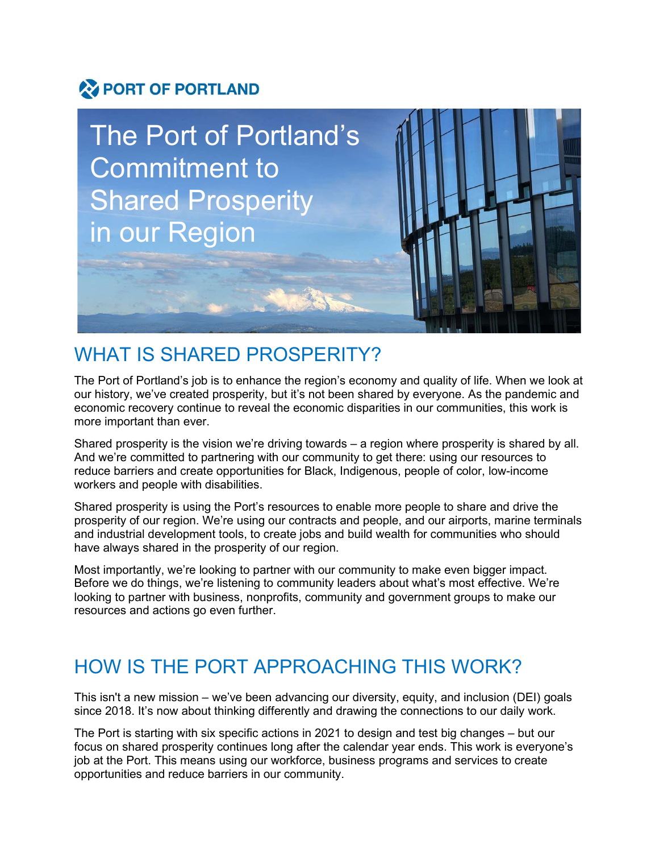# PORT OF PORTLAND



## WHAT IS SHARED PROSPERITY?

The Port of Portland's job is to enhance the region's economy and quality of life. When we look at our history, we've created prosperity, but it's not been shared by everyone. As the pandemic and economic recovery continue to reveal the economic disparities in our communities, this work is more important than ever.

 Shared prosperity is the vision we're driving towards – a region where prosperity is shared by all. And we're committed to partnering with our community to get there: using our resources to reduce barriers and create opportunities for Black, Indigenous, people of color, low-income workers and people with disabilities.

Shared prosperity is using the Port's resources to enable more people to share and drive the prosperity of our region. We're using our contracts and people, and our airports, marine terminals and industrial development tools, to create jobs and build wealth for communities who should have always shared in the prosperity of our region.

Most importantly, we're looking to partner with our community to make even bigger impact. Before we do things, we're listening to community leaders about what's most effective. We're looking to partner with business, nonprofits, community and government groups to make our resources and actions go even further.

# HOW IS THE PORT APPROACHING THIS WORK?

This isn't a new mission – we've been advancing our diversity, equity, and inclusion (DEI) goals since 2018. It's now about thinking differently and drawing the connections to our daily work.

The Port is starting with six specific actions in 2021 to design and test big changes – but our focus on shared prosperity continues long after the calendar year ends. This work is everyone's job at the Port. This means using our workforce, business programs and services to create opportunities and reduce barriers in our community.